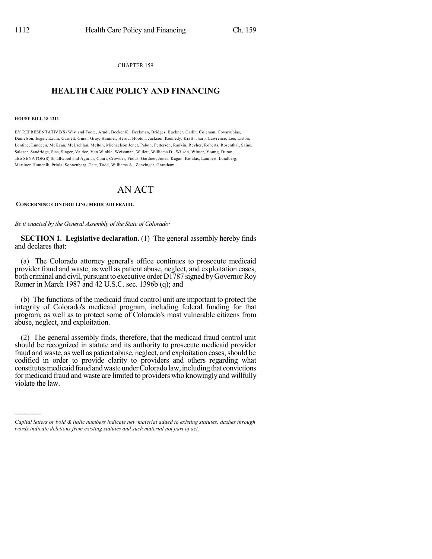CHAPTER 159  $\overline{\phantom{a}}$  . The set of the set of the set of the set of the set of the set of the set of the set of the set of the set of the set of the set of the set of the set of the set of the set of the set of the set of the set o

## **HEALTH CARE POLICY AND FINANCING**  $\_$   $\_$   $\_$   $\_$   $\_$   $\_$   $\_$   $\_$

#### **HOUSE BILL 18-1211**

)))))

BY REPRESENTATIVE(S) Wist and Foote, Arndt, Becker K., Beckman, Bridges, Buckner, Catlin, Coleman, Covarrubias, Danielson, Esgar, Exum, Garnett, Ginal, Gray, Hamner, Herod, Hooton, Jackson, Kennedy, Kraft-Tharp, Lawrence, Lee, Liston, Lontine, Lundeen, McKean, McLachlan, Melton, Michaelson Jenet, Pabon, Pettersen, Rankin, Reyher, Roberts, Rosenthal, Saine, Salazar, Sandridge, Sias, Singer, Valdez, Van Winkle, Weissman, Willett, Williams D., Wilson, Winter, Young, Duran; also SENATOR(S) Smallwood and Aguilar, Court, Crowder, Fields, Gardner, Jones, Kagan, Kefalas, Lambert, Lundberg, Martinez Humenik, Priola, Sonnenberg, Tate, Todd, Williams A., Zenzinger, Grantham.

# AN ACT

### **CONCERNING CONTROLLING MEDICAID FRAUD.**

*Be it enacted by the General Assembly of the State of Colorado:*

**SECTION 1. Legislative declaration.** (1) The general assembly hereby finds and declares that:

(a) The Colorado attorney general's office continues to prosecute medicaid provider fraud and waste, as well as patient abuse, neglect, and exploitation cases, both criminal and civil, pursuant to executive order D1787 signed by Governor Roy Romer in March 1987 and 42 U.S.C. sec. 1396b (q); and

(b) The functions of the medicaid fraud control unit are important to protect the integrity of Colorado's medicaid program, including federal funding for that program, as well as to protect some of Colorado's most vulnerable citizens from abuse, neglect, and exploitation.

(2) The general assembly finds, therefore, that the medicaid fraud control unit should be recognized in statute and its authority to prosecute medicaid provider fraud and waste, as well as patient abuse, neglect, and exploitation cases, should be codified in order to provide clarity to providers and others regarding what constitutes medicaid fraud and waste under Colorado law, including that convictions for medicaid fraud and waste are limited to providers who knowingly and willfully violate the law.

*Capital letters or bold & italic numbers indicate new material added to existing statutes; dashes through words indicate deletions from existing statutes and such material not part of act.*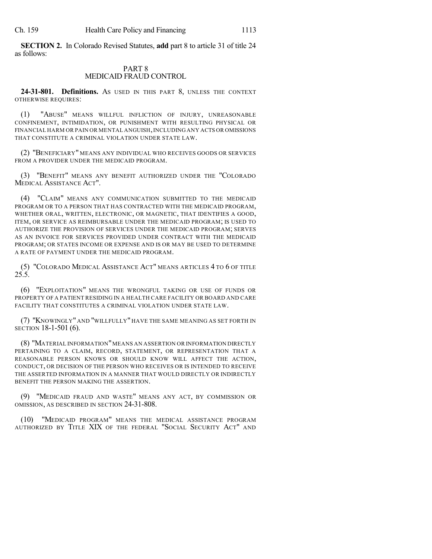**SECTION 2.** In Colorado Revised Statutes, **add** part 8 to article 31 of title 24 as follows:

## PART 8 MEDICAID FRAUD CONTROL

**24-31-801. Definitions.** AS USED IN THIS PART 8, UNLESS THE CONTEXT OTHERWISE REQUIRES:

(1) "ABUSE" MEANS WILLFUL INFLICTION OF INJURY, UNREASONABLE CONFINEMENT, INTIMIDATION, OR PUNISHMENT WITH RESULTING PHYSICAL OR FINANCIAL HARM OR PAIN OR MENTAL ANGUISH,INCLUDING ANY ACTS OR OMISSIONS THAT CONSTITUTE A CRIMINAL VIOLATION UNDER STATE LAW.

(2) "BENEFICIARY" MEANS ANY INDIVIDUAL WHO RECEIVES GOODS OR SERVICES FROM A PROVIDER UNDER THE MEDICAID PROGRAM.

(3) "BENEFIT" MEANS ANY BENEFIT AUTHORIZED UNDER THE "COLORADO MEDICAL ASSISTANCE ACT".

(4) "CLAIM" MEANS ANY COMMUNICATION SUBMITTED TO THE MEDICAID PROGRAM OR TO A PERSON THAT HAS CONTRACTED WITH THE MEDICAID PROGRAM, WHETHER ORAL, WRITTEN, ELECTRONIC, OR MAGNETIC, THAT IDENTIFIES A GOOD, ITEM, OR SERVICE AS REIMBURSABLE UNDER THE MEDICAID PROGRAM; IS USED TO AUTHORIZE THE PROVISION OF SERVICES UNDER THE MEDICAID PROGRAM; SERVES AS AN INVOICE FOR SERVICES PROVIDED UNDER CONTRACT WITH THE MEDICAID PROGRAM; OR STATES INCOME OR EXPENSE AND IS OR MAY BE USED TO DETERMINE A RATE OF PAYMENT UNDER THE MEDICAID PROGRAM.

(5) "COLORADO MEDICAL ASSISTANCE ACT" MEANS ARTICLES 4 TO 6 OF TITLE 25.5.

(6) "EXPLOITATION" MEANS THE WRONGFUL TAKING OR USE OF FUNDS OR PROPERTY OF A PATIENT RESIDING IN A HEALTH CARE FACILITY OR BOARD AND CARE FACILITY THAT CONSTITUTES A CRIMINAL VIOLATION UNDER STATE LAW.

(7) "KNOWINGLY" AND "WILLFULLY" HAVE THE SAME MEANING AS SET FORTH IN SECTION 18-1-501 (6).

(8) "MATERIAL INFORMATION"MEANS AN ASSERTION OR INFORMATION DIRECTLY PERTAINING TO A CLAIM, RECORD, STATEMENT, OR REPRESENTATION THAT A REASONABLE PERSON KNOWS OR SHOULD KNOW WILL AFFECT THE ACTION, CONDUCT, OR DECISION OF THE PERSON WHO RECEIVES OR IS INTENDED TO RECEIVE THE ASSERTED INFORMATION IN A MANNER THAT WOULD DIRECTLY OR INDIRECTLY BENEFIT THE PERSON MAKING THE ASSERTION.

(9) "MEDICAID FRAUD AND WASTE" MEANS ANY ACT, BY COMMISSION OR OMISSION, AS DESCRIBED IN SECTION 24-31-808.

(10) "MEDICAID PROGRAM" MEANS THE MEDICAL ASSISTANCE PROGRAM AUTHORIZED BY TITLE XIX OF THE FEDERAL "SOCIAL SECURITY ACT" AND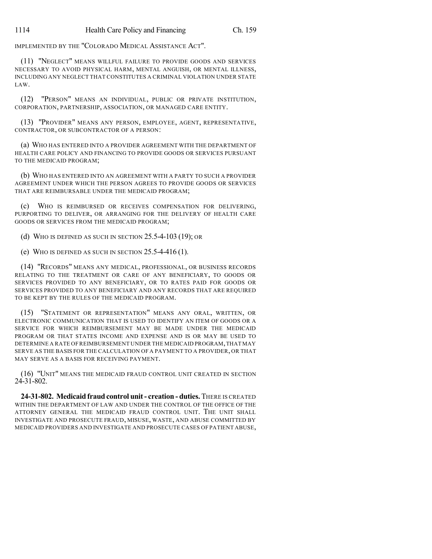IMPLEMENTED BY THE "COLORADO MEDICAL ASSISTANCE ACT".

(11) "NEGLECT" MEANS WILLFUL FAILURE TO PROVIDE GOODS AND SERVICES NECESSARY TO AVOID PHYSICAL HARM, MENTAL ANGUISH, OR MENTAL ILLNESS, INCLUDING ANY NEGLECT THAT CONSTITUTES A CRIMINAL VIOLATION UNDER STATE LAW.

(12) "PERSON" MEANS AN INDIVIDUAL, PUBLIC OR PRIVATE INSTITUTION, CORPORATION, PARTNERSHIP, ASSOCIATION, OR MANAGED CARE ENTITY.

(13) "PROVIDER" MEANS ANY PERSON, EMPLOYEE, AGENT, REPRESENTATIVE, CONTRACTOR, OR SUBCONTRACTOR OF A PERSON:

(a) WHO HAS ENTERED INTO A PROVIDER AGREEMENT WITH THE DEPARTMENT OF HEALTH CARE POLICY AND FINANCING TO PROVIDE GOODS OR SERVICES PURSUANT TO THE MEDICAID PROGRAM;

(b) WHO HAS ENTERED INTO AN AGREEMENT WITH A PARTY TO SUCH A PROVIDER AGREEMENT UNDER WHICH THE PERSON AGREES TO PROVIDE GOODS OR SERVICES THAT ARE REIMBURSABLE UNDER THE MEDICAID PROGRAM;

(c) WHO IS REIMBURSED OR RECEIVES COMPENSATION FOR DELIVERING, PURPORTING TO DELIVER, OR ARRANGING FOR THE DELIVERY OF HEALTH CARE GOODS OR SERVICES FROM THE MEDICAID PROGRAM;

(d) WHO IS DEFINED AS SUCH IN SECTION 25.5-4-103 (19); OR

(e) WHO IS DEFINED AS SUCH IN SECTION 25.5-4-416 (1).

(14) "RECORDS" MEANS ANY MEDICAL, PROFESSIONAL, OR BUSINESS RECORDS RELATING TO THE TREATMENT OR CARE OF ANY BENEFICIARY, TO GOODS OR SERVICES PROVIDED TO ANY BENEFICIARY, OR TO RATES PAID FOR GOODS OR SERVICES PROVIDED TO ANY BENEFICIARY AND ANY RECORDS THAT ARE REQUIRED TO BE KEPT BY THE RULES OF THE MEDICAID PROGRAM.

(15) "STATEMENT OR REPRESENTATION" MEANS ANY ORAL, WRITTEN, OR ELECTRONIC COMMUNICATION THAT IS USED TO IDENTIFY AN ITEM OF GOODS OR A SERVICE FOR WHICH REIMBURSEMENT MAY BE MADE UNDER THE MEDICAID PROGRAM OR THAT STATES INCOME AND EXPENSE AND IS OR MAY BE USED TO DETERMINE A RATE OFREIMBURSEMENT UNDER THE MEDICAID PROGRAM,THAT MAY SERVE AS THE BASIS FOR THE CALCULATION OF A PAYMENT TO A PROVIDER, OR THAT MAY SERVE AS A BASIS FOR RECEIVING PAYMENT.

(16) "UNIT" MEANS THE MEDICAID FRAUD CONTROL UNIT CREATED IN SECTION 24-31-802.

**24-31-802. Medicaidfraud control unit- creation - duties.** THERE IS CREATED WITHIN THE DEPARTMENT OF LAW AND UNDER THE CONTROL OF THE OFFICE OF THE ATTORNEY GENERAL THE MEDICAID FRAUD CONTROL UNIT. THE UNIT SHALL INVESTIGATE AND PROSECUTE FRAUD, MISUSE, WASTE, AND ABUSE COMMITTED BY MEDICAID PROVIDERS AND INVESTIGATE AND PROSECUTE CASES OF PATIENT ABUSE,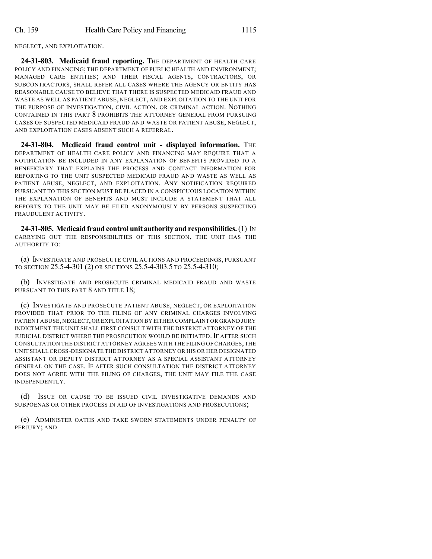NEGLECT, AND EXPLOITATION.

**24-31-803. Medicaid fraud reporting.** THE DEPARTMENT OF HEALTH CARE POLICY AND FINANCING; THE DEPARTMENT OF PUBLIC HEALTH AND ENVIRONMENT; MANAGED CARE ENTITIES; AND THEIR FISCAL AGENTS, CONTRACTORS, OR SUBCONTRACTORS, SHALL REFER ALL CASES WHERE THE AGENCY OR ENTITY HAS REASONABLE CAUSE TO BELIEVE THAT THERE IS SUSPECTED MEDICAID FRAUD AND WASTE AS WELL AS PATIENT ABUSE, NEGLECT, AND EXPLOITATION TO THE UNIT FOR THE PURPOSE OF INVESTIGATION, CIVIL ACTION, OR CRIMINAL ACTION. NOTHING CONTAINED IN THIS PART 8 PROHIBITS THE ATTORNEY GENERAL FROM PURSUING CASES OF SUSPECTED MEDICAID FRAUD AND WASTE OR PATIENT ABUSE, NEGLECT, AND EXPLOITATION CASES ABSENT SUCH A REFERRAL.

**24-31-804. Medicaid fraud control unit - displayed information.** THE DEPARTMENT OF HEALTH CARE POLICY AND FINANCING MAY REQUIRE THAT A NOTIFICATION BE INCLUDED IN ANY EXPLANATION OF BENEFITS PROVIDED TO A BENEFICIARY THAT EXPLAINS THE PROCESS AND CONTACT INFORMATION FOR REPORTING TO THE UNIT SUSPECTED MEDICAID FRAUD AND WASTE AS WELL AS PATIENT ABUSE, NEGLECT, AND EXPLOITATION. ANY NOTIFICATION REQUIRED PURSUANT TO THIS SECTION MUST BE PLACED IN A CONSPICUOUS LOCATION WITHIN THE EXPLANATION OF BENEFITS AND MUST INCLUDE A STATEMENT THAT ALL REPORTS TO THE UNIT MAY BE FILED ANONYMOUSLY BY PERSONS SUSPECTING FRAUDULENT ACTIVITY.

**24-31-805. Medicaidfraudcontrolunit authority and responsibilities.**(1) IN CARRYING OUT THE RESPONSIBILITIES OF THIS SECTION, THE UNIT HAS THE AUTHORITY TO:

(a) INVESTIGATE AND PROSECUTE CIVIL ACTIONS AND PROCEEDINGS, PURSUANT TO SECTION 25.5-4-301 (2) OR SECTIONS 25.5-4-303.5 TO 25.5-4-310;

(b) INVESTIGATE AND PROSECUTE CRIMINAL MEDICAID FRAUD AND WASTE PURSUANT TO THIS PART 8 AND TITLE 18;

(c) INVESTIGATE AND PROSECUTE PATIENT ABUSE, NEGLECT, OR EXPLOITATION PROVIDED THAT PRIOR TO THE FILING OF ANY CRIMINAL CHARGES INVOLVING PATIENT ABUSE,NEGLECT,OR EXPLOITATION BY EITHER COMPLAINT OR GRAND JURY INDICTMENT THE UNIT SHALL FIRST CONSULT WITH THE DISTRICT ATTORNEY OF THE JUDICIAL DISTRICT WHERE THE PROSECUTION WOULD BE INITIATED. IF AFTER SUCH CONSULTATION THE DISTRICT ATTORNEY AGREES WITH THE FILING OF CHARGES,THE UNIT SHALL CROSS-DESIGNATE THE DISTRICT ATTORNEY OR HIS OR HER DESIGNATED ASSISTANT OR DEPUTY DISTRICT ATTORNEY AS A SPECIAL ASSISTANT ATTORNEY GENERAL ON THE CASE. IF AFTER SUCH CONSULTATION THE DISTRICT ATTORNEY DOES NOT AGREE WITH THE FILING OF CHARGES, THE UNIT MAY FILE THE CASE INDEPENDENTLY.

(d) ISSUE OR CAUSE TO BE ISSUED CIVIL INVESTIGATIVE DEMANDS AND SUBPOENAS OR OTHER PROCESS IN AID OF INVESTIGATIONS AND PROSECUTIONS;

(e) ADMINISTER OATHS AND TAKE SWORN STATEMENTS UNDER PENALTY OF PERJURY; AND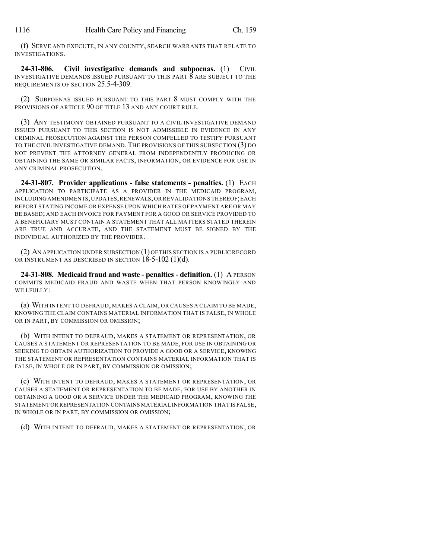(f) SERVE AND EXECUTE, IN ANY COUNTY, SEARCH WARRANTS THAT RELATE TO INVESTIGATIONS.

**24-31-806. Civil investigative demands and subpoenas.** (1) CIVIL INVESTIGATIVE DEMANDS ISSUED PURSUANT TO THIS PART 8 ARE SUBJECT TO THE REQUIREMENTS OF SECTION 25.5-4-309.

(2) SUBPOENAS ISSUED PURSUANT TO THIS PART 8 MUST COMPLY WITH THE PROVISIONS OF ARTICLE 90 OF TITLE 13 AND ANY COURT RULE.

(3) ANY TESTIMONY OBTAINED PURSUANT TO A CIVIL INVESTIGATIVE DEMAND ISSUED PURSUANT TO THIS SECTION IS NOT ADMISSIBLE IN EVIDENCE IN ANY CRIMINAL PROSECUTION AGAINST THE PERSON COMPELLED TO TESTIFY PURSUANT TO THE CIVIL INVESTIGATIVE DEMAND.THE PROVISIONS OF THIS SUBSECTION (3) DO NOT PREVENT THE ATTORNEY GENERAL FROM INDEPENDENTLY PRODUCING OR OBTAINING THE SAME OR SIMILAR FACTS, INFORMATION, OR EVIDENCE FOR USE IN ANY CRIMINAL PROSECUTION.

**24-31-807. Provider applications - false statements - penalties.** (1) EACH APPLICATION TO PARTICIPATE AS A PROVIDER IN THE MEDICAID PROGRAM, INCLUDINGAMENDMENTS,UPDATES,RENEWALS,OR REVALIDATIONS THEREOF;EACH REPORT STATING INCOME OR EXPENSE UPON WHICH RATES OF PAYMENT ARE OR MAY BE BASED; AND EACH INVOICE FOR PAYMENT FOR A GOOD OR SERVICE PROVIDED TO A BENEFICIARY MUST CONTAIN A STATEMENT THAT ALL MATTERS STATED THEREIN ARE TRUE AND ACCURATE, AND THE STATEMENT MUST BE SIGNED BY THE INDIVIDUAL AUTHORIZED BY THE PROVIDER.

(2) AN APPLICATION UNDER SUBSECTION (1)OF THIS SECTION IS A PUBLIC RECORD OR INSTRUMENT AS DESCRIBED IN SECTION 18-5-102 (1)(d).

**24-31-808. Medicaid fraud and waste - penalties - definition.** (1) A PERSON COMMITS MEDICAID FRAUD AND WASTE WHEN THAT PERSON KNOWINGLY AND WILLFULLY:

(a) WITH INTENT TO DEFRAUD, MAKES A CLAIM, OR CAUSES A CLAIM TO BE MADE, KNOWING THE CLAIM CONTAINS MATERIAL INFORMATION THAT IS FALSE, IN WHOLE OR IN PART, BY COMMISSION OR OMISSION;

(b) WITH INTENT TO DEFRAUD, MAKES A STATEMENT OR REPRESENTATION, OR CAUSES A STATEMENT OR REPRESENTATION TO BE MADE, FOR USE IN OBTAINING OR SEEKING TO OBTAIN AUTHORIZATION TO PROVIDE A GOOD OR A SERVICE, KNOWING THE STATEMENT OR REPRESENTATION CONTAINS MATERIAL INFORMATION THAT IS FALSE, IN WHOLE OR IN PART, BY COMMISSION OR OMISSION;

(c) WITH INTENT TO DEFRAUD, MAKES A STATEMENT OR REPRESENTATION, OR CAUSES A STATEMENT OR REPRESENTATION TO BE MADE, FOR USE BY ANOTHER IN OBTAINING A GOOD OR A SERVICE UNDER THE MEDICAID PROGRAM, KNOWING THE STATEMENT OR REPRESENTATION CONTAINS MATERIAL INFORMATION THAT IS FALSE, IN WHOLE OR IN PART, BY COMMISSION OR OMISSION;

(d) WITH INTENT TO DEFRAUD, MAKES A STATEMENT OR REPRESENTATION, OR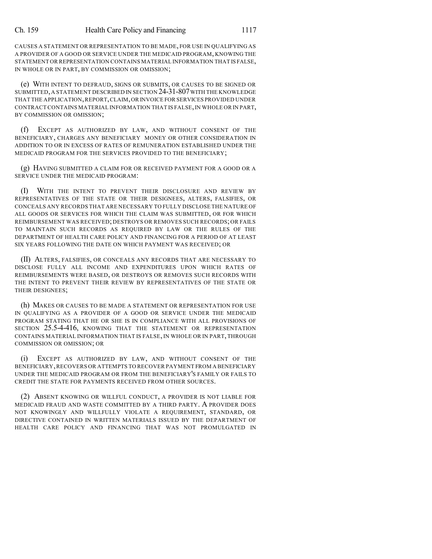CAUSES A STATEMENT OR REPRESENTATION TO BE MADE, FOR USE IN QUALIFYING AS A PROVIDER OF A GOOD OR SERVICE UNDER THE MEDICAID PROGRAM, KNOWING THE STATEMENT OR REPRESENTATION CONTAINS MATERIAL INFORMATION THAT IS FALSE, IN WHOLE OR IN PART, BY COMMISSION OR OMISSION;

(e) WITH INTENT TO DEFRAUD, SIGNS OR SUBMITS, OR CAUSES TO BE SIGNED OR SUBMITTED, A STATEMENT DESCRIBED IN SECTION 24-31-807 WITH THE KNOWLEDGE THAT THE APPLICATION,REPORT,CLAIM,OR INVOICE FOR SERVICES PROVIDED UNDER CONTRACTCONTAINS MATERIAL INFORMATION THAT IS FALSE,IN WHOLE OR IN PART, BY COMMISSION OR OMISSION;

(f) EXCEPT AS AUTHORIZED BY LAW, AND WITHOUT CONSENT OF THE BENEFICIARY, CHARGES ANY BENEFICIARY MONEY OR OTHER CONSIDERATION IN ADDITION TO OR IN EXCESS OF RATES OF REMUNERATION ESTABLISHED UNDER THE MEDICAID PROGRAM FOR THE SERVICES PROVIDED TO THE BENEFICIARY;

(g) HAVING SUBMITTED A CLAIM FOR OR RECEIVED PAYMENT FOR A GOOD OR A SERVICE UNDER THE MEDICAID PROGRAM:

(I) WITH THE INTENT TO PREVENT THEIR DISCLOSURE AND REVIEW BY REPRESENTATIVES OF THE STATE OR THEIR DESIGNEES, ALTERS, FALSIFIES, OR CONCEALS ANY RECORDS THAT ARE NECESSARY TO FULLY DISCLOSE THE NATURE OF ALL GOODS OR SERVICES FOR WHICH THE CLAIM WAS SUBMITTED, OR FOR WHICH REIMBURSEMENT WAS RECEIVED; DESTROYS OR REMOVES SUCH RECORDS; OR FAILS TO MAINTAIN SUCH RECORDS AS REQUIRED BY LAW OR THE RULES OF THE DEPARTMENT OF HEALTH CARE POLICY AND FINANCING FOR A PERIOD OF AT LEAST SIX YEARS FOLLOWING THE DATE ON WHICH PAYMENT WAS RECEIVED; OR

(II) ALTERS, FALSIFIES, OR CONCEALS ANY RECORDS THAT ARE NECESSARY TO DISCLOSE FULLY ALL INCOME AND EXPENDITURES UPON WHICH RATES OF REIMBURSEMENTS WERE BASED, OR DESTROYS OR REMOVES SUCH RECORDS WITH THE INTENT TO PREVENT THEIR REVIEW BY REPRESENTATIVES OF THE STATE OR THEIR DESIGNEES;

(h) MAKES OR CAUSES TO BE MADE A STATEMENT OR REPRESENTATION FOR USE IN QUALIFYING AS A PROVIDER OF A GOOD OR SERVICE UNDER THE MEDICAID PROGRAM STATING THAT HE OR SHE IS IN COMPLIANCE WITH ALL PROVISIONS OF SECTION 25.5-4-416, KNOWING THAT THE STATEMENT OR REPRESENTATION CONTAINS MATERIAL INFORMATION THAT IS FALSE, IN WHOLE OR IN PART, THROUGH COMMISSION OR OMISSION; OR

(i) EXCEPT AS AUTHORIZED BY LAW, AND WITHOUT CONSENT OF THE BENEFICIARY,RECOVERS OR ATTEMPTS TO RECOVER PAYMENT FROM A BENEFICIARY UNDER THE MEDICAID PROGRAM OR FROM THE BENEFICIARY'S FAMILY OR FAILS TO CREDIT THE STATE FOR PAYMENTS RECEIVED FROM OTHER SOURCES.

(2) ABSENT KNOWING OR WILLFUL CONDUCT, A PROVIDER IS NOT LIABLE FOR MEDICAID FRAUD AND WASTE COMMITTED BY A THIRD PARTY. A PROVIDER DOES NOT KNOWINGLY AND WILLFULLY VIOLATE A REQUIREMENT, STANDARD, OR DIRECTIVE CONTAINED IN WRITTEN MATERIALS ISSUED BY THE DEPARTMENT OF HEALTH CARE POLICY AND FINANCING THAT WAS NOT PROMULGATED IN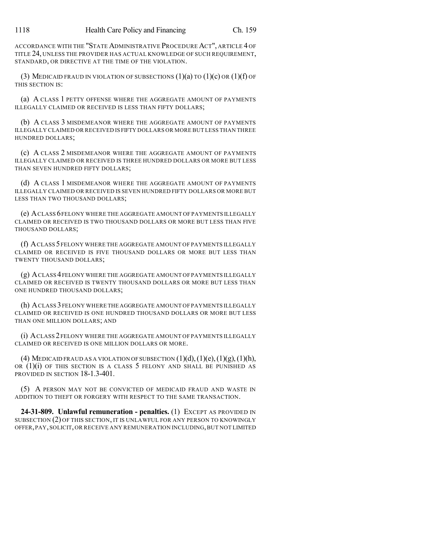ACCORDANCE WITH THE "STATE ADMINISTRATIVE PROCEDURE ACT", ARTICLE 4 OF TITLE 24, UNLESS THE PROVIDER HAS ACTUAL KNOWLEDGE OF SUCH REQUIREMENT, STANDARD, OR DIRECTIVE AT THE TIME OF THE VIOLATION.

(3) MEDICAID FRAUD IN VIOLATION OF SUBSECTIONS  $(1)(a)$  TO  $(1)(c)$  OR  $(1)(f)$  OF THIS SECTION IS:

(a) A CLASS 1 PETTY OFFENSE WHERE THE AGGREGATE AMOUNT OF PAYMENTS ILLEGALLY CLAIMED OR RECEIVED IS LESS THAN FIFTY DOLLARS;

(b) A CLASS 3 MISDEMEANOR WHERE THE AGGREGATE AMOUNT OF PAYMENTS ILLEGALLY CLAIMED OR RECEIVED IS FIFTY DOLLARS OR MORE BUT LESS THAN THREE HUNDRED DOLLARS;

(c) A CLASS 2 MISDEMEANOR WHERE THE AGGREGATE AMOUNT OF PAYMENTS ILLEGALLY CLAIMED OR RECEIVED IS THREE HUNDRED DOLLARS OR MORE BUT LESS THAN SEVEN HUNDRED FIFTY DOLLARS;

(d) A CLASS 1 MISDEMEANOR WHERE THE AGGREGATE AMOUNT OF PAYMENTS ILLEGALLY CLAIMED OR RECEIVED IS SEVEN HUNDRED FIFTY DOLLARS OR MORE BUT LESS THAN TWO THOUSAND DOLLARS;

(e) ACLASS 6FELONY WHERE THE AGGREGATE AMOUNT OF PAYMENTS ILLEGALLY CLAIMED OR RECEIVED IS TWO THOUSAND DOLLARS OR MORE BUT LESS THAN FIVE THOUSAND DOLLARS;

(f) ACLASS 5FELONY WHERE THE AGGREGATE AMOUNT OF PAYMENTS ILLEGALLY CLAIMED OR RECEIVED IS FIVE THOUSAND DOLLARS OR MORE BUT LESS THAN TWENTY THOUSAND DOLLARS;

(g) ACLASS 4FELONY WHERE THE AGGREGATE AMOUNT OF PAYMENTS ILLEGALLY CLAIMED OR RECEIVED IS TWENTY THOUSAND DOLLARS OR MORE BUT LESS THAN ONE HUNDRED THOUSAND DOLLARS;

(h) ACLASS 3FELONY WHERE THE AGGREGATE AMOUNT OF PAYMENTS ILLEGALLY CLAIMED OR RECEIVED IS ONE HUNDRED THOUSAND DOLLARS OR MORE BUT LESS THAN ONE MILLION DOLLARS; AND

(i) ACLASS 2 FELONY WHERE THE AGGREGATE AMOUNT OF PAYMENTS ILLEGALLY CLAIMED OR RECEIVED IS ONE MILLION DOLLARS OR MORE.

(4) MEDICAID FRAUD AS A VIOLATION OF SUBSECTION  $(1)(d)$ ,  $(1)(e)$ ,  $(1)(g)$ ,  $(1)(h)$ , OR (1)(i) OF THIS SECTION IS A CLASS 5 FELONY AND SHALL BE PUNISHED AS PROVIDED IN SECTION 18-1.3-401.

(5) A PERSON MAY NOT BE CONVICTED OF MEDICAID FRAUD AND WASTE IN ADDITION TO THEFT OR FORGERY WITH RESPECT TO THE SAME TRANSACTION.

**24-31-809. Unlawful remuneration - penalties.** (1) EXCEPT AS PROVIDED IN SUBSECTION (2) OF THIS SECTION, IT IS UNLAWFUL FOR ANY PERSON TO KNOWINGLY OFFER,PAY,SOLICIT,OR RECEIVE ANY REMUNERATION INCLUDING,BUT NOT LIMITED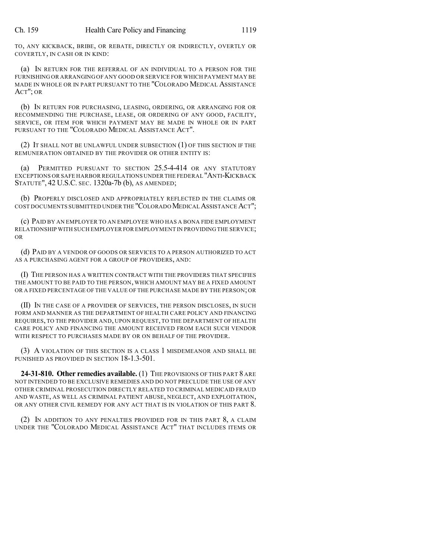TO, ANY KICKBACK, BRIBE, OR REBATE, DIRECTLY OR INDIRECTLY, OVERTLY OR COVERTLY, IN CASH OR IN KIND:

(a) IN RETURN FOR THE REFERRAL OF AN INDIVIDUAL TO A PERSON FOR THE FURNISHING OR ARRANGING OF ANY GOOD OR SERVICE FOR WHICH PAYMENT MAY BE MADE IN WHOLE OR IN PART PURSUANT TO THE "COLORADO MEDICAL ASSISTANCE ACT"; OR

(b) IN RETURN FOR PURCHASING, LEASING, ORDERING, OR ARRANGING FOR OR RECOMMENDING THE PURCHASE, LEASE, OR ORDERING OF ANY GOOD, FACILITY, SERVICE, OR ITEM FOR WHICH PAYMENT MAY BE MADE IN WHOLE OR IN PART PURSUANT TO THE "COLORADO MEDICAL ASSISTANCE ACT".

(2) IT SHALL NOT BE UNLAWFUL UNDER SUBSECTION (1) OF THIS SECTION IF THE REMUNERATION OBTAINED BY THE PROVIDER OR OTHER ENTITY IS:

(a) PERMITTED PURSUANT TO SECTION 25.5-4-414 OR ANY STATUTORY EXCEPTIONS OR SAFE HARBOR REGULATIONS UNDER THE FEDERAL "ANTI-KICKBACK STATUTE", 42 U.S.C. SEC. 1320a-7b (b), AS AMENDED;

(b) PROPERLY DISCLOSED AND APPROPRIATELY REFLECTED IN THE CLAIMS OR COST DOCUMENTS SUBMITTED UNDER THE "COLORADO MEDICAL ASSISTANCE ACT";

(c) PAID BY AN EMPLOYER TO AN EMPLOYEE WHO HAS A BONA FIDE EMPLOYMENT RELATIONSHIP WITH SUCH EMPLOYER FOR EMPLOYMENT IN PROVIDING THE SERVICE; OR

(d) PAID BY A VENDOR OF GOODS OR SERVICES TO A PERSON AUTHORIZED TO ACT AS A PURCHASING AGENT FOR A GROUP OF PROVIDERS, AND:

(I) THE PERSON HAS A WRITTEN CONTRACT WITH THE PROVIDERS THAT SPECIFIES THE AMOUNT TO BE PAID TO THE PERSON, WHICH AMOUNT MAY BE A FIXED AMOUNT OR A FIXED PERCENTAGE OF THE VALUE OF THE PURCHASE MADE BY THE PERSON;OR

(II) IN THE CASE OF A PROVIDER OF SERVICES, THE PERSON DISCLOSES, IN SUCH FORM AND MANNER AS THE DEPARTMENT OF HEALTH CARE POLICY AND FINANCING REQUIRES, TO THE PROVIDER AND, UPON REQUEST, TO THE DEPARTMENT OF HEALTH CARE POLICY AND FINANCING THE AMOUNT RECEIVED FROM EACH SUCH VENDOR WITH RESPECT TO PURCHASES MADE BY OR ON BEHALF OF THE PROVIDER.

(3) A VIOLATION OF THIS SECTION IS A CLASS 1 MISDEMEANOR AND SHALL BE PUNISHED AS PROVIDED IN SECTION 18-1.3-501.

**24-31-810. Other remedies available.** (1) THE PROVISIONS OF THIS PART 8 ARE NOT INTENDED TO BE EXCLUSIVE REMEDIES AND DO NOT PRECLUDE THE USE OF ANY OTHER CRIMINAL PROSECUTION DIRECTLY RELATED TO CRIMINAL MEDICAID FRAUD AND WASTE, AS WELL AS CRIMINAL PATIENT ABUSE, NEGLECT, AND EXPLOITATION, OR ANY OTHER CIVIL REMEDY FOR ANY ACT THAT IS IN VIOLATION OF THIS PART 8.

(2) IN ADDITION TO ANY PENALTIES PROVIDED FOR IN THIS PART 8, A CLAIM UNDER THE "COLORADO MEDICAL ASSISTANCE ACT" THAT INCLUDES ITEMS OR